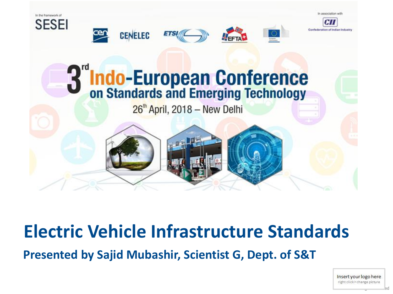

#### **Electric Vehicle Infrastructure Standards**

**Presented by Sajid Mubashir, Scientist G, Dept. of S&T**

Insert your logo here right click> change picture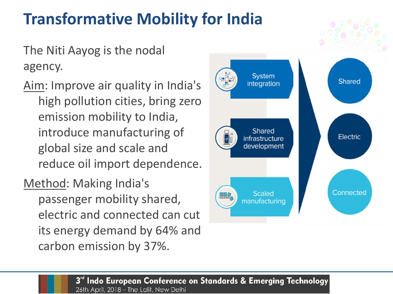#### **Transformative Mobility for India**

The Niti Aayog is the nodal agency.

Aim: Improve air quality in India's high pollution cities, bring zero emission mobility to India, introduce manufacturing of global size and scale and reduce oil import dependence.

Method: Making India's passenger mobility shared, electric and connected can cut its energy demand by 64% and carbon emission by 37%.

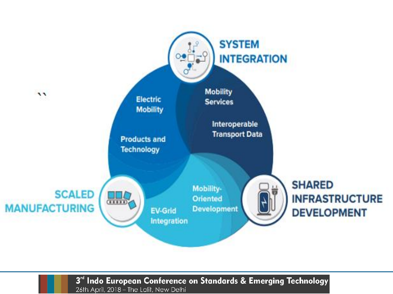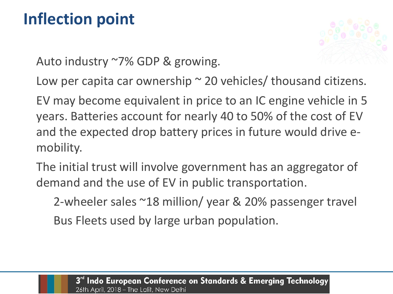#### **Inflection point**



Auto industry ~7% GDP & growing.

Low per capita car ownership  $\sim$  20 vehicles/ thousand citizens.

EV may become equivalent in price to an IC engine vehicle in 5 years. Batteries account for nearly 40 to 50% of the cost of EV and the expected drop battery prices in future would drive emobility.

The initial trust will involve government has an aggregator of demand and the use of EV in public transportation.

2-wheeler sales ~18 million/ year & 20% passenger travel Bus Fleets used by large urban population.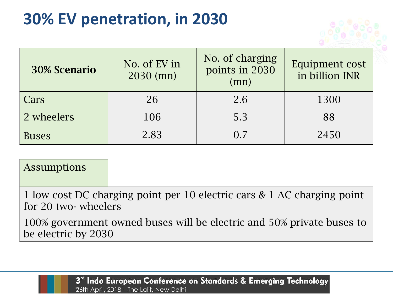#### **30% EV penetration, in 2030**

| <b>30% Scenario</b> | No. of EV in<br>2030 (mn) | No. of charging<br>points in 2030<br>(mn) | Equipment cost<br>in billion INR |
|---------------------|---------------------------|-------------------------------------------|----------------------------------|
| Cars                | 26                        | 2.6                                       | 1300                             |
| 2 wheelers          | 106                       | 5.3                                       | 88                               |
| <b>Buses</b>        | 2.83                      | $\Omega$ 7                                | 2450                             |

#### Assumptions

1 low cost DC charging point per 10 electric cars & 1 AC charging point for 20 two- wheelers

100% government owned buses will be electric and 50% private buses to be electric by 2030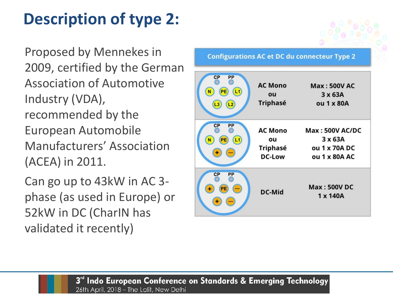## **Description of type 2:**

Proposed by Mennekes in 2009, certified by the German Association of Automotive Industry (VDA), recommended by the European Automobile Manufacturers' Association (ACEA) in 2011.

Can go up to 43kW in AC 3 phase (as used in Europe) or 52kW in DC (CharIN has validated it recently)

**Configurations AC et DC du connecteur Type 2** 

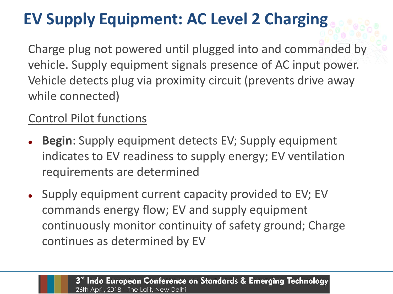# **EV Supply Equipment: AC Level 2 Charging**

Charge plug not powered until plugged into and commanded by vehicle. Supply equipment signals presence of AC input power. Vehicle detects plug via proximity circuit (prevents drive away while connected)

#### Control Pilot functions

- ⚫ **Begin**: Supply equipment detects EV; Supply equipment indicates to EV readiness to supply energy; EV ventilation requirements are determined
- ⚫ Supply equipment current capacity provided to EV; EV commands energy flow; EV and supply equipment continuously monitor continuity of safety ground; Charge continues as determined by EV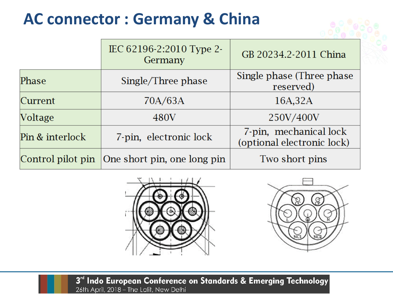#### **AC connector : Germany & China**

|                   | IEC 62196-2:2010 Type 2-<br>Germany | GB 20234.2-2011 China                                |  |
|-------------------|-------------------------------------|------------------------------------------------------|--|
| Phase             | Single/Three phase                  | Single phase (Three phase)<br>reserved)              |  |
| Current           | 70A/63A                             | 16A,32A                                              |  |
| Voltage           | 480V                                | 250V/400V                                            |  |
| Pin & interlock   | 7-pin, electronic lock              | 7-pin, mechanical lock<br>(optional electronic lock) |  |
| Control pilot pin | One short pin, one long pin         | Two short pins                                       |  |



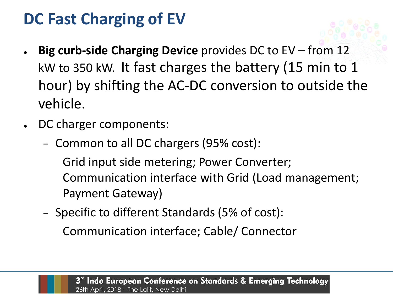#### **DC Fast Charging of EV**

- **Big curb-side Charging Device** provides DC to EV from 12 kW to 350 kW. It fast charges the battery (15 min to 1 hour) by shifting the AC-DC conversion to outside the vehicle.
- DC charger components:
	- − Common to all DC chargers (95% cost):

Grid input side metering; Power Converter; Communication interface with Grid (Load management; Payment Gateway)

− Specific to different Standards (5% of cost):

Communication interface; Cable/ Connector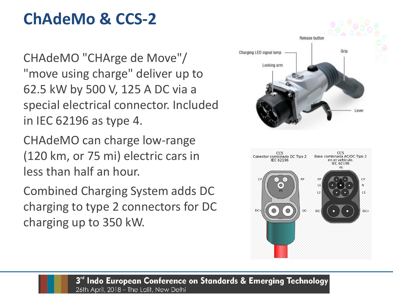#### **ChAdeMo & CCS-2**

CHAdeMO "CHArge de Move"/ "move using charge" deliver up to 62.5 kW by 500 V, 125 A DC via a special electrical connector. Included in IEC 62196 as type 4.

CHAdeMO can charge low-range (120 km, or 75 mi) electric cars in less than half an hour.

Combined Charging System adds DC charging to type 2 connectors for DC charging up to 350 kW.

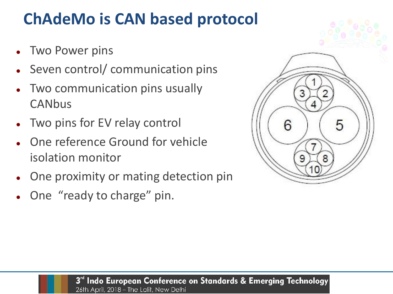#### **ChAdeMo is CAN based protocol**

- Two Power pins
- Seven control/ communication pins
- ⚫ Two communication pins usually **CANbus**
- Two pins for EV relay control
- ⚫ One reference Ground for vehicle isolation monitor
- ⚫ One proximity or mating detection pin
- ⚫ One "ready to charge" pin.

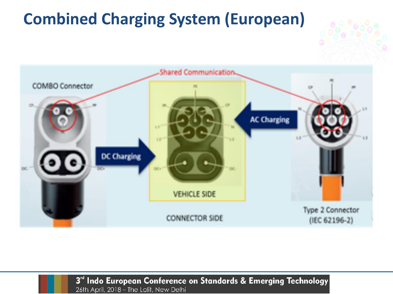### **Combined Charging System (European)**

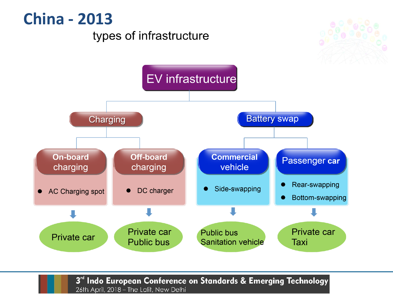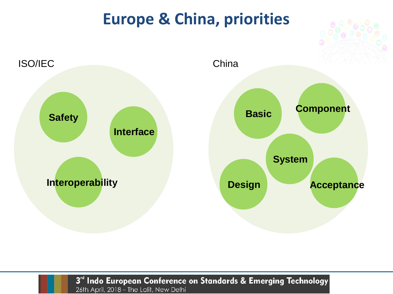#### **Europe & China, priorities**